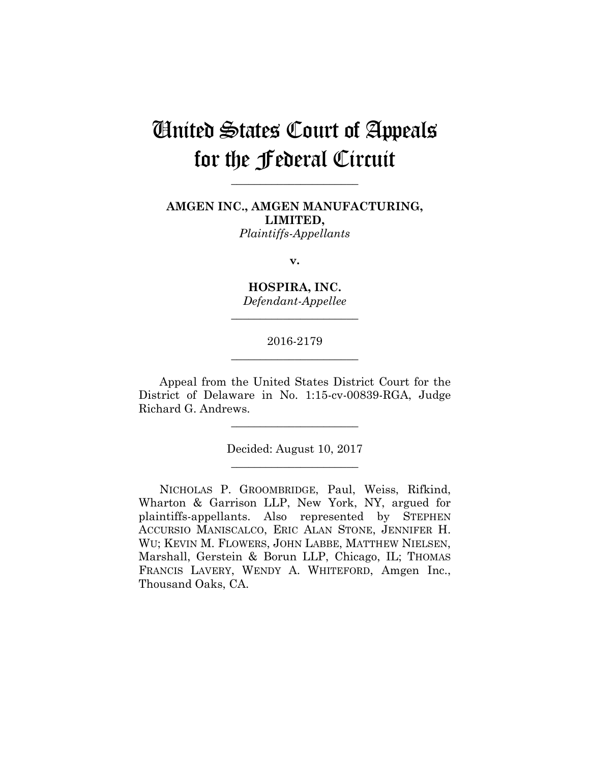# United States Court of Appeals for the Federal Circuit

**\_\_\_\_\_\_\_\_\_\_\_\_\_\_\_\_\_\_\_\_\_\_** 

**AMGEN INC., AMGEN MANUFACTURING, LIMITED,** *Plaintiffs-Appellants*

**v.**

**HOSPIRA, INC.** *Defendant-Appellee*

**\_\_\_\_\_\_\_\_\_\_\_\_\_\_\_\_\_\_\_\_\_\_** 

# 2016-2179 **\_\_\_\_\_\_\_\_\_\_\_\_\_\_\_\_\_\_\_\_\_\_**

Appeal from the United States District Court for the District of Delaware in No. 1:15-cv-00839-RGA, Judge Richard G. Andrews.

**\_\_\_\_\_\_\_\_\_\_\_\_\_\_\_\_\_\_\_\_\_\_** 

Decided: August 10, 2017 **\_\_\_\_\_\_\_\_\_\_\_\_\_\_\_\_\_\_\_\_\_\_** 

NICHOLAS P. GROOMBRIDGE, Paul, Weiss, Rifkind, Wharton & Garrison LLP, New York, NY, argued for plaintiffs-appellants. Also represented by STEPHEN ACCURSIO MANISCALCO, ERIC ALAN STONE, JENNIFER H. WU; KEVIN M. FLOWERS, JOHN LABBE, MATTHEW NIELSEN, Marshall, Gerstein & Borun LLP, Chicago, IL; THOMAS FRANCIS LAVERY, WENDY A. WHITEFORD, Amgen Inc., Thousand Oaks, CA.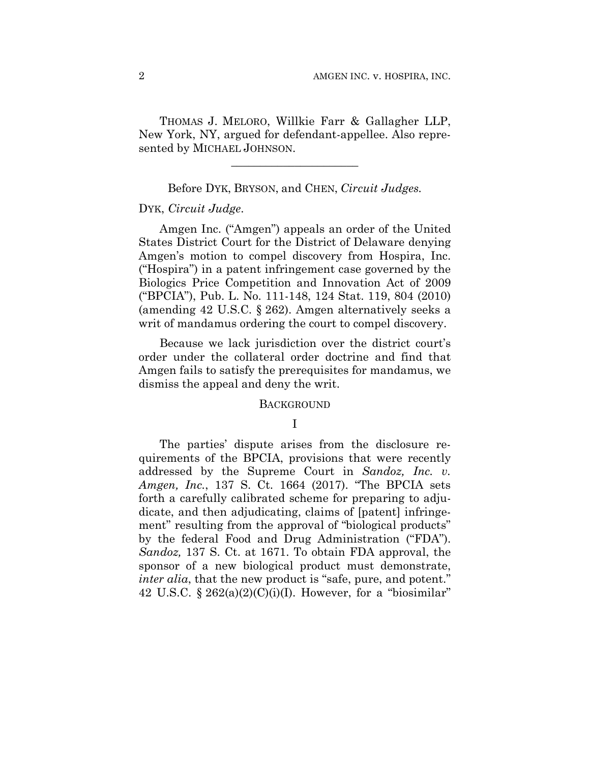THOMAS J. MELORO, Willkie Farr & Gallagher LLP, New York, NY, argued for defendant-appellee. Also represented by MICHAEL JOHNSON.

### Before DYK, BRYSON, and CHEN, *Circuit Judges.*

**\_\_\_\_\_\_\_\_\_\_\_\_\_\_\_\_\_\_\_\_\_\_** 

# DYK, *Circuit Judge*.

Amgen Inc. ("Amgen") appeals an order of the United States District Court for the District of Delaware denying Amgen's motion to compel discovery from Hospira, Inc. ("Hospira") in a patent infringement case governed by the Biologics Price Competition and Innovation Act of 2009 ("BPCIA"), Pub. L. No. 111-148, 124 Stat. 119, 804 (2010) (amending 42 U.S.C. § 262). Amgen alternatively seeks a writ of mandamus ordering the court to compel discovery.

Because we lack jurisdiction over the district court's order under the collateral order doctrine and find that Amgen fails to satisfy the prerequisites for mandamus, we dismiss the appeal and deny the writ.

#### **BACKGROUND**

### I

The parties' dispute arises from the disclosure requirements of the BPCIA, provisions that were recently addressed by the Supreme Court in *Sandoz, Inc. v. Amgen, Inc.*, 137 S. Ct. 1664 (2017). "The BPCIA sets forth a carefully calibrated scheme for preparing to adjudicate, and then adjudicating, claims of [patent] infringement" resulting from the approval of "biological products" by the federal Food and Drug Administration ("FDA"). *Sandoz,* 137 S. Ct. at 1671. To obtain FDA approval, the sponsor of a new biological product must demonstrate, *inter alia*, that the new product is "safe, pure, and potent." 42 U.S.C.  $\S 262(a)(2)(C)(i)(I)$ . However, for a "biosimilar"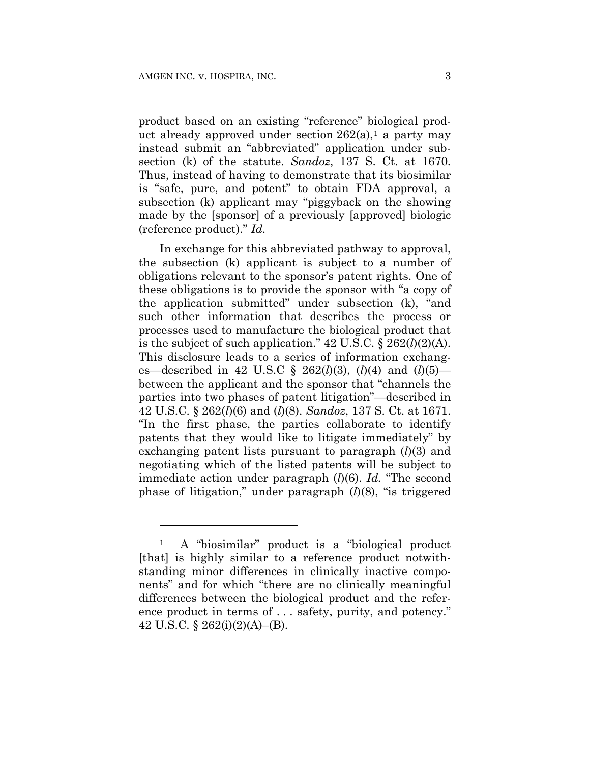<u>.</u>

product based on an existing "reference" biological product already approved under section  $262(a)$ , a party may instead submit an "abbreviated" application under subsection (k) of the statute. *Sandoz*, 137 S. Ct. at 1670. Thus, instead of having to demonstrate that its biosimilar is "safe, pure, and potent" to obtain FDA approval, a subsection (k) applicant may "piggyback on the showing made by the [sponsor] of a previously [approved] biologic (reference product)." *Id.*

In exchange for this abbreviated pathway to approval, the subsection (k) applicant is subject to a number of obligations relevant to the sponsor's patent rights. One of these obligations is to provide the sponsor with "a copy of the application submitted" under subsection (k), "and such other information that describes the process or processes used to manufacture the biological product that is the subject of such application."  $42 \text{ U.S.C.}$  §  $262(l)(2)(\text{A}).$ This disclosure leads to a series of information exchanges—described in 42 U.S.C § 262(*l*)(3), (*l*)(4) and (*l*)(5) between the applicant and the sponsor that "channels the parties into two phases of patent litigation"—described in 42 U.S.C. § 262(*l*)(6) and (*l*)(8). *Sandoz*, 137 S. Ct. at 1671. "In the first phase, the parties collaborate to identify patents that they would like to litigate immediately" by exchanging patent lists pursuant to paragraph (*l*)(3) and negotiating which of the listed patents will be subject to immediate action under paragraph (*l*)(6). *Id.* "The second phase of litigation," under paragraph (*l*)(8), "is triggered

<sup>1</sup> A "biosimilar" product is a "biological product [that] is highly similar to a reference product notwithstanding minor differences in clinically inactive components" and for which "there are no clinically meaningful differences between the biological product and the reference product in terms of . . . safety, purity, and potency." 42 U.S.C. § 262(i)(2)(A)–(B).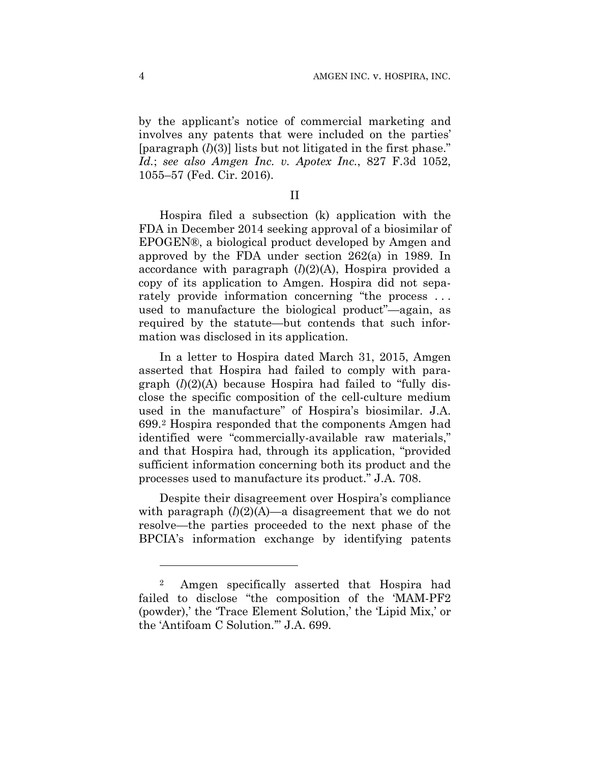by the applicant's notice of commercial marketing and involves any patents that were included on the parties' [paragraph (*l*)(3)] lists but not litigated in the first phase." *Id.*; *see also Amgen Inc. v. Apotex Inc.*, 827 F.3d 1052, 1055–57 (Fed. Cir. 2016).

II

Hospira filed a subsection (k) application with the FDA in December 2014 seeking approval of a biosimilar of EPOGEN®, a biological product developed by Amgen and approved by the FDA under section 262(a) in 1989. In accordance with paragraph (*l*)(2)(A), Hospira provided a copy of its application to Amgen. Hospira did not separately provide information concerning "the process ... used to manufacture the biological product"—again, as required by the statute—but contends that such information was disclosed in its application.

In a letter to Hospira dated March 31, 2015, Amgen asserted that Hospira had failed to comply with paragraph (*l*)(2)(A) because Hospira had failed to "fully disclose the specific composition of the cell-culture medium used in the manufacture" of Hospira's biosimilar. J.A. 699.2 Hospira responded that the components Amgen had identified were "commercially-available raw materials," and that Hospira had, through its application, "provided sufficient information concerning both its product and the processes used to manufacture its product." J.A. 708.

Despite their disagreement over Hospira's compliance with paragraph  $(l)(2)(A)$ —a disagreement that we do not resolve—the parties proceeded to the next phase of the BPCIA's information exchange by identifying patents

<u>.</u>

<sup>2</sup> Amgen specifically asserted that Hospira had failed to disclose "the composition of the 'MAM-PF2 (powder),' the 'Trace Element Solution,' the 'Lipid Mix,' or the 'Antifoam C Solution.'" J.A. 699.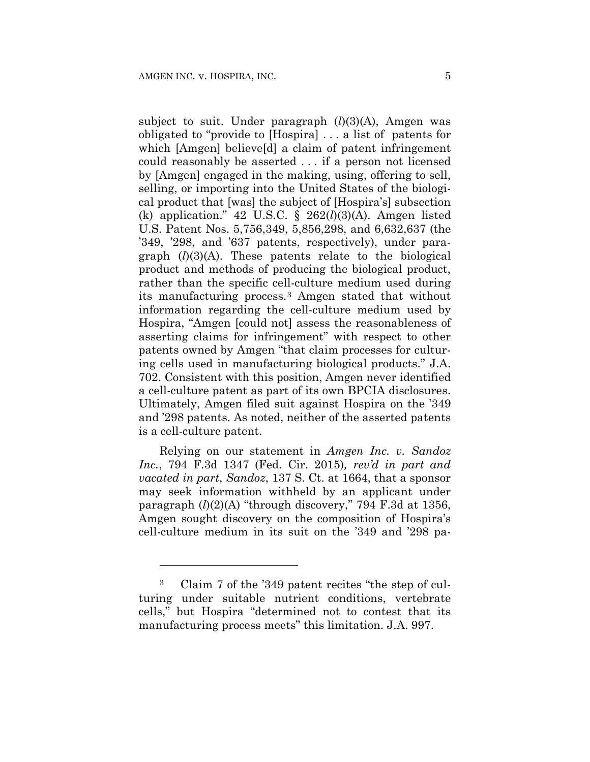subject to suit. Under paragraph  $(l)(3)(A)$ , Amgen was obligated to "provide to [Hospira] . . . a list of patents for which [Amgen] believe[d] a claim of patent infringement could reasonably be asserted . . . if a person not licensed by [Amgen] engaged in the making, using, offering to sell, selling, or importing into the United States of the biological product that [was] the subject of [Hospira's] subsection (k) application." 42 U.S.C. § 262(*l*)(3)(A). Amgen listed U.S. Patent Nos. 5,756,349, 5,856,298, and 6,632,637 (the '349, '298, and '637 patents, respectively), under paragraph (*l*)(3)(A). These patents relate to the biological product and methods of producing the biological product, rather than the specific cell-culture medium used during its manufacturing process.3 Amgen stated that without information regarding the cell-culture medium used by Hospira, "Amgen [could not] assess the reasonableness of asserting claims for infringement" with respect to other patents owned by Amgen "that claim processes for culturing cells used in manufacturing biological products." J.A. 702. Consistent with this position, Amgen never identified a cell-culture patent as part of its own BPCIA disclosures. Ultimately, Amgen filed suit against Hospira on the '349 and '298 patents. As noted, neither of the asserted patents is a cell-culture patent.

Relying on our statement in *Amgen Inc. v. Sandoz Inc.*, 794 F.3d 1347 (Fed. Cir. 2015)*, rev'd in part and vacated in part*, *Sandoz*, 137 S. Ct. at 1664, that a sponsor may seek information withheld by an applicant under paragraph (*l*)(2)(A) "through discovery," 794 F.3d at 1356, Amgen sought discovery on the composition of Hospira's cell-culture medium in its suit on the '349 and '298 pa-

<u>.</u>

<sup>3</sup> Claim 7 of the '349 patent recites "the step of culturing under suitable nutrient conditions, vertebrate cells," but Hospira "determined not to contest that its manufacturing process meets" this limitation. J.A. 997.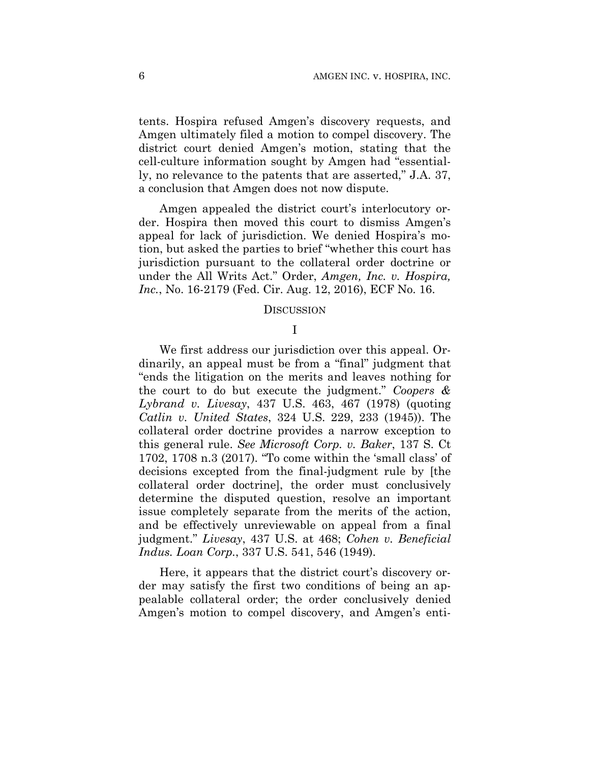tents. Hospira refused Amgen's discovery requests, and Amgen ultimately filed a motion to compel discovery. The district court denied Amgen's motion, stating that the cell-culture information sought by Amgen had "essentially, no relevance to the patents that are asserted," J.A. 37, a conclusion that Amgen does not now dispute.

Amgen appealed the district court's interlocutory order. Hospira then moved this court to dismiss Amgen's appeal for lack of jurisdiction. We denied Hospira's motion, but asked the parties to brief "whether this court has jurisdiction pursuant to the collateral order doctrine or under the All Writs Act." Order, *Amgen, Inc. v. Hospira, Inc.*, No. 16-2179 (Fed. Cir. Aug. 12, 2016), ECF No. 16.

#### DISCUSSION

# I

We first address our jurisdiction over this appeal. Ordinarily, an appeal must be from a "final" judgment that "ends the litigation on the merits and leaves nothing for the court to do but execute the judgment." *Coopers & Lybrand v. Livesay*, 437 U.S. 463, 467 (1978) (quoting *Catlin v. United States*, 324 U.S. 229, 233 (1945)). The collateral order doctrine provides a narrow exception to this general rule. *See Microsoft Corp. v. Baker*, 137 S. Ct 1702, 1708 n.3 (2017). "To come within the 'small class' of decisions excepted from the final-judgment rule by [the collateral order doctrine], the order must conclusively determine the disputed question, resolve an important issue completely separate from the merits of the action, and be effectively unreviewable on appeal from a final judgment." *Livesay*, 437 U.S. at 468; *Cohen v. Beneficial Indus. Loan Corp.*, 337 U.S. 541, 546 (1949).

Here, it appears that the district court's discovery order may satisfy the first two conditions of being an appealable collateral order; the order conclusively denied Amgen's motion to compel discovery, and Amgen's enti-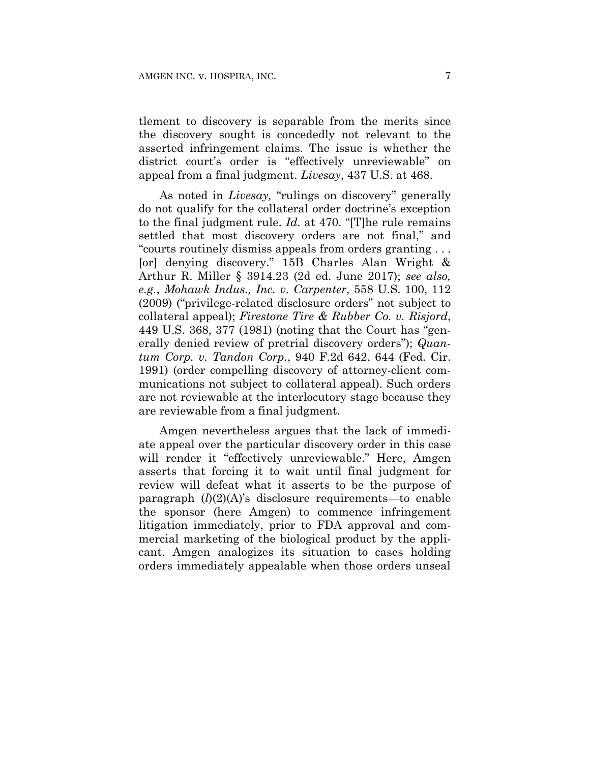tlement to discovery is separable from the merits since the discovery sought is concededly not relevant to the asserted infringement claims. The issue is whether the district court's order is "effectively unreviewable" on appeal from a final judgment. *Livesay*, 437 U.S. at 468.

As noted in *Livesay,* "rulings on discovery" generally do not qualify for the collateral order doctrine's exception to the final judgment rule. *Id.* at 470. "[T]he rule remains settled that most discovery orders are not final," and "courts routinely dismiss appeals from orders granting . . . [or] denying discovery." 15B Charles Alan Wright & Arthur R. Miller § 3914.23 (2d ed. June 2017); *see also, e.g.*, *Mohawk Indus., Inc. v. Carpenter*, 558 U.S. 100, 112 (2009) ("privilege-related disclosure orders" not subject to collateral appeal); *Firestone Tire & Rubber Co. v. Risjord*, 449 U.S. 368, 377 (1981) (noting that the Court has "generally denied review of pretrial discovery orders"); *Quantum Corp. v. Tandon Corp.*, 940 F.2d 642, 644 (Fed. Cir. 1991) (order compelling discovery of attorney-client communications not subject to collateral appeal). Such orders are not reviewable at the interlocutory stage because they are reviewable from a final judgment.

Amgen nevertheless argues that the lack of immediate appeal over the particular discovery order in this case will render it "effectively unreviewable." Here, Amgen asserts that forcing it to wait until final judgment for review will defeat what it asserts to be the purpose of paragraph (*l*)(2)(A)'s disclosure requirements—to enable the sponsor (here Amgen) to commence infringement litigation immediately, prior to FDA approval and commercial marketing of the biological product by the applicant. Amgen analogizes its situation to cases holding orders immediately appealable when those orders unseal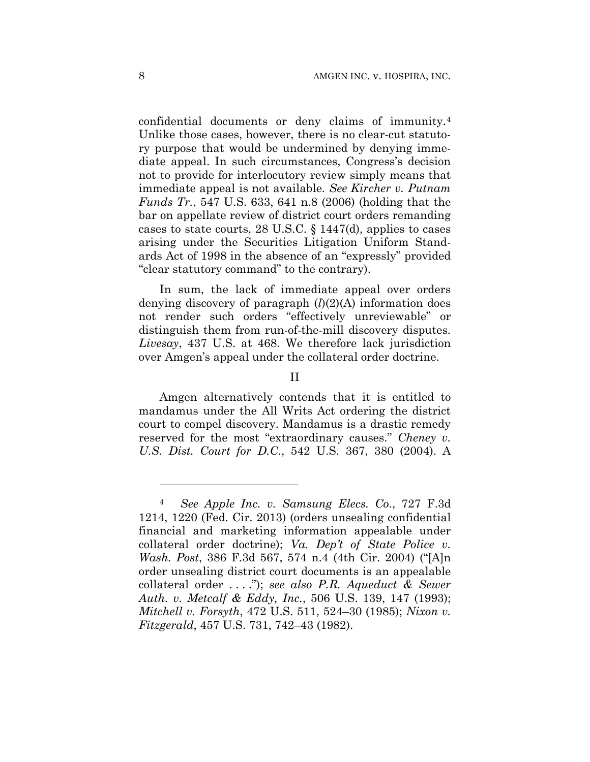confidential documents or deny claims of immunity.4 Unlike those cases, however, there is no clear-cut statutory purpose that would be undermined by denying immediate appeal. In such circumstances, Congress's decision not to provide for interlocutory review simply means that immediate appeal is not available. *See Kircher v. Putnam Funds Tr.*, 547 U.S. 633, 641 n.8 (2006) (holding that the bar on appellate review of district court orders remanding cases to state courts, 28 U.S.C. § 1447(d), applies to cases arising under the Securities Litigation Uniform Standards Act of 1998 in the absence of an "expressly" provided "clear statutory command" to the contrary).

In sum, the lack of immediate appeal over orders denying discovery of paragraph (*l*)(2)(A) information does not render such orders "effectively unreviewable" or distinguish them from run-of-the-mill discovery disputes. *Livesay*, 437 U.S. at 468. We therefore lack jurisdiction over Amgen's appeal under the collateral order doctrine.

II

Amgen alternatively contends that it is entitled to mandamus under the All Writs Act ordering the district court to compel discovery. Mandamus is a drastic remedy reserved for the most "extraordinary causes." *Cheney v. U.S. Dist. Court for D.C.*, 542 U.S. 367, 380 (2004). A

<u>.</u>

<sup>4</sup> *See Apple Inc. v. Samsung Elecs. Co.*, 727 F.3d 1214, 1220 (Fed. Cir. 2013) (orders unsealing confidential financial and marketing information appealable under collateral order doctrine); *Va. Dep't of State Police v. Wash. Post*, 386 F.3d 567, 574 n.4 (4th Cir. 2004) ("[A]n order unsealing district court documents is an appealable collateral order . . . ."); *see also P.R. Aqueduct & Sewer Auth. v. Metcalf & Eddy, Inc.*, 506 U.S. 139, 147 (1993); *Mitchell v. Forsyth*, 472 U.S. 511, 524–30 (1985); *Nixon v. Fitzgerald*, 457 U.S. 731, 742–43 (1982).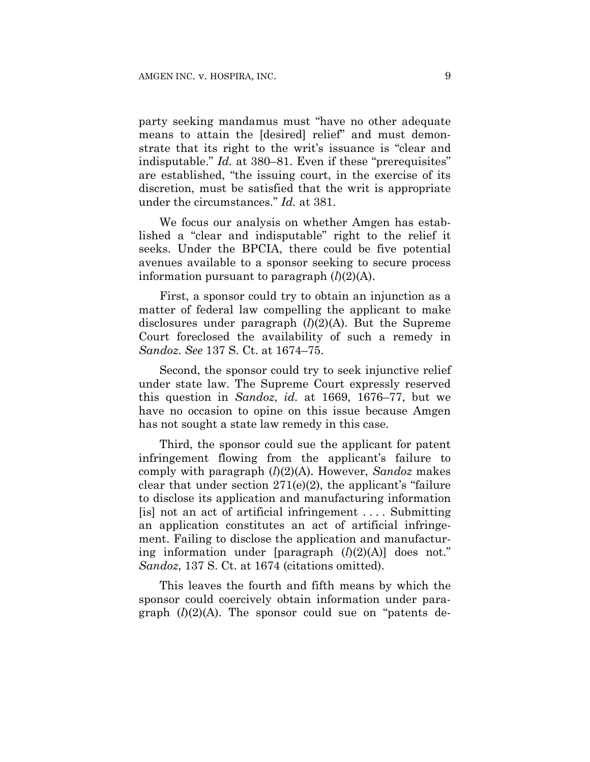party seeking mandamus must "have no other adequate means to attain the [desired] relief" and must demonstrate that its right to the writ's issuance is "clear and indisputable." *Id.* at 380–81. Even if these "prerequisites" are established, "the issuing court, in the exercise of its discretion, must be satisfied that the writ is appropriate under the circumstances." *Id.* at 381.

We focus our analysis on whether Amgen has established a "clear and indisputable" right to the relief it seeks. Under the BPCIA, there could be five potential avenues available to a sponsor seeking to secure process information pursuant to paragraph (*l*)(2)(A).

First, a sponsor could try to obtain an injunction as a matter of federal law compelling the applicant to make disclosures under paragraph (*l*)(2)(A). But the Supreme Court foreclosed the availability of such a remedy in *Sandoz*. *See* 137 S. Ct. at 1674–75.

Second, the sponsor could try to seek injunctive relief under state law. The Supreme Court expressly reserved this question in *Sandoz*, *id.* at 1669, 1676–77, but we have no occasion to opine on this issue because Amgen has not sought a state law remedy in this case.

Third, the sponsor could sue the applicant for patent infringement flowing from the applicant's failure to comply with paragraph (*l*)(2)(A). However, *Sandoz* makes clear that under section  $271(e)(2)$ , the applicant's "failure" to disclose its application and manufacturing information  $[$ is] not an act of artificial infringement .... Submitting an application constitutes an act of artificial infringement. Failing to disclose the application and manufacturing information under [paragraph (*l*)(2)(A)] does not." *Sandoz*, 137 S. Ct. at 1674 (citations omitted).

This leaves the fourth and fifth means by which the sponsor could coercively obtain information under paragraph  $(l)(2)(A)$ . The sponsor could sue on "patents de-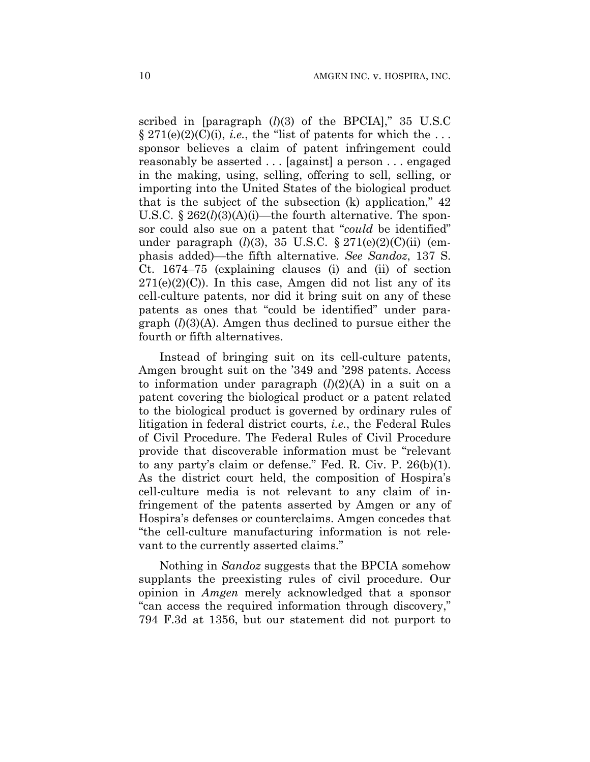scribed in [paragraph (*l*)(3) of the BPCIA]," 35 U.S.C  $\S 271(e)(2)(C)(i)$ , *i.e.*, the "list of patents for which the ... sponsor believes a claim of patent infringement could reasonably be asserted . . . [against] a person . . . engaged in the making, using, selling, offering to sell, selling, or importing into the United States of the biological product that is the subject of the subsection (k) application," 42 U.S.C. § 262(*l*)(3)(A)(i)—the fourth alternative. The sponsor could also sue on a patent that "*could* be identified" under paragraph (*l*)(3), 35 U.S.C. § 271(e)(2)(C)(ii) (emphasis added)—the fifth alternative. *See Sandoz*, 137 S. Ct. 1674–75 (explaining clauses (i) and (ii) of section  $271(e)(2)(C)$ . In this case, Amgen did not list any of its cell-culture patents, nor did it bring suit on any of these patents as ones that "could be identified" under paragraph (*l*)(3)(A). Amgen thus declined to pursue either the fourth or fifth alternatives.

Instead of bringing suit on its cell-culture patents, Amgen brought suit on the '349 and '298 patents. Access to information under paragraph (*l*)(2)(A) in a suit on a patent covering the biological product or a patent related to the biological product is governed by ordinary rules of litigation in federal district courts, *i.e.*, the Federal Rules of Civil Procedure. The Federal Rules of Civil Procedure provide that discoverable information must be "relevant to any party's claim or defense." Fed. R. Civ. P. 26(b)(1). As the district court held, the composition of Hospira's cell-culture media is not relevant to any claim of infringement of the patents asserted by Amgen or any of Hospira's defenses or counterclaims. Amgen concedes that "the cell-culture manufacturing information is not relevant to the currently asserted claims."

Nothing in *Sandoz* suggests that the BPCIA somehow supplants the preexisting rules of civil procedure. Our opinion in *Amgen* merely acknowledged that a sponsor "can access the required information through discovery," 794 F.3d at 1356, but our statement did not purport to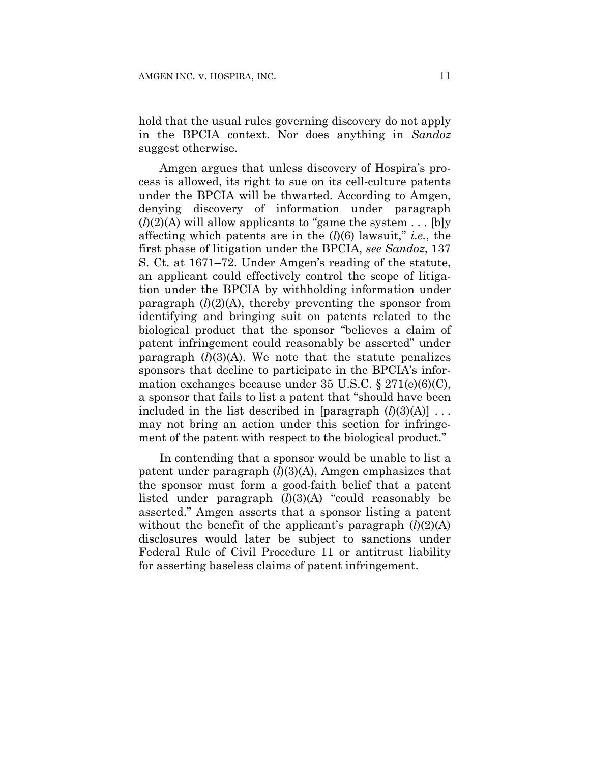hold that the usual rules governing discovery do not apply in the BPCIA context. Nor does anything in *Sandoz* suggest otherwise.

Amgen argues that unless discovery of Hospira's process is allowed, its right to sue on its cell-culture patents under the BPCIA will be thwarted. According to Amgen, denying discovery of information under paragraph  $(l)(2)(A)$  will allow applicants to "game the system . . . [b]y affecting which patents are in the (*l*)(6) lawsuit," *i.e.*, the first phase of litigation under the BPCIA, *see Sandoz*, 137 S. Ct. at 1671–72. Under Amgen's reading of the statute, an applicant could effectively control the scope of litigation under the BPCIA by withholding information under paragraph  $(l)(2)(A)$ , thereby preventing the sponsor from identifying and bringing suit on patents related to the biological product that the sponsor "believes a claim of patent infringement could reasonably be asserted" under paragraph  $(l)(3)(A)$ . We note that the statute penalizes sponsors that decline to participate in the BPCIA's information exchanges because under 35 U.S.C.  $\S 271(e)(6)(C)$ , a sponsor that fails to list a patent that "should have been included in the list described in  $\left[$  paragraph  $(l)(3)(A)\right]$ ... may not bring an action under this section for infringement of the patent with respect to the biological product."

In contending that a sponsor would be unable to list a patent under paragraph (*l*)(3)(A), Amgen emphasizes that the sponsor must form a good-faith belief that a patent listed under paragraph (*l*)(3)(A) "could reasonably be asserted." Amgen asserts that a sponsor listing a patent without the benefit of the applicant's paragraph  $(l)(2)(A)$ disclosures would later be subject to sanctions under Federal Rule of Civil Procedure 11 or antitrust liability for asserting baseless claims of patent infringement.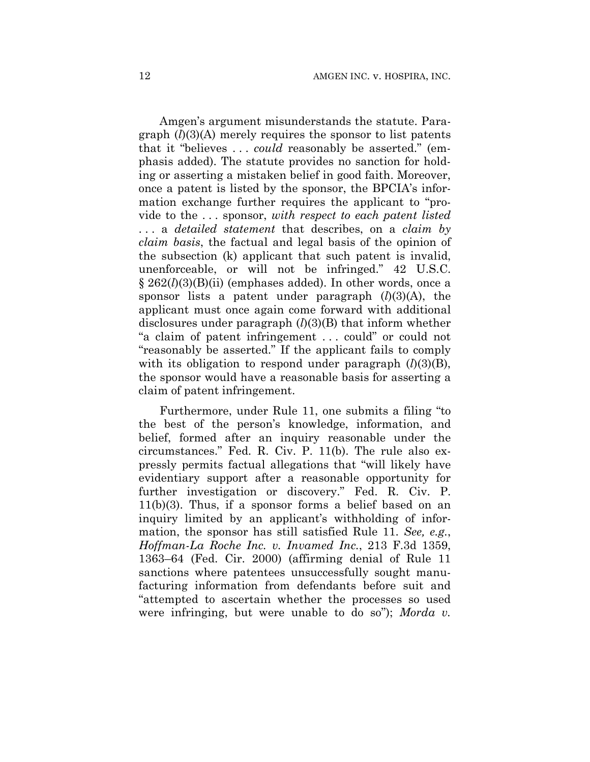Amgen's argument misunderstands the statute. Paragraph (*l*)(3)(A) merely requires the sponsor to list patents that it "believes . . . *could* reasonably be asserted." (emphasis added). The statute provides no sanction for holding or asserting a mistaken belief in good faith. Moreover, once a patent is listed by the sponsor, the BPCIA's information exchange further requires the applicant to "provide to the . . . sponsor, *with respect to each patent listed*  . . . a *detailed statement* that describes, on a *claim by claim basis*, the factual and legal basis of the opinion of the subsection (k) applicant that such patent is invalid, unenforceable, or will not be infringed." 42 U.S.C. § 262(*l*)(3)(B)(ii) (emphases added). In other words, once a sponsor lists a patent under paragraph (*l*)(3)(A), the applicant must once again come forward with additional disclosures under paragraph (*l*)(3)(B) that inform whether "a claim of patent infringement . . . could" or could not "reasonably be asserted." If the applicant fails to comply with its obligation to respond under paragraph  $(l)(3)(B)$ , the sponsor would have a reasonable basis for asserting a claim of patent infringement.

Furthermore, under Rule 11, one submits a filing "to the best of the person's knowledge, information, and belief, formed after an inquiry reasonable under the circumstances." Fed. R. Civ. P. 11(b). The rule also expressly permits factual allegations that "will likely have evidentiary support after a reasonable opportunity for further investigation or discovery." Fed. R. Civ. P.  $11(b)(3)$ . Thus, if a sponsor forms a belief based on an inquiry limited by an applicant's withholding of information, the sponsor has still satisfied Rule 11. *See, e.g.*, *Hoffman-La Roche Inc. v. Invamed Inc.*, 213 F.3d 1359, 1363–64 (Fed. Cir. 2000) (affirming denial of Rule 11 sanctions where patentees unsuccessfully sought manufacturing information from defendants before suit and "attempted to ascertain whether the processes so used were infringing, but were unable to do so"); *Morda v.*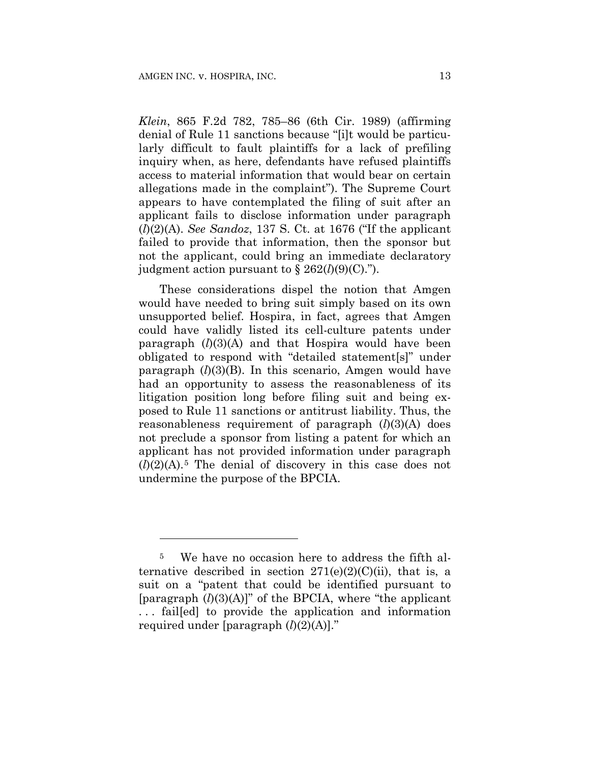1

*Klein*, 865 F.2d 782, 785–86 (6th Cir. 1989) (affirming denial of Rule 11 sanctions because "[i]t would be particularly difficult to fault plaintiffs for a lack of prefiling inquiry when, as here, defendants have refused plaintiffs access to material information that would bear on certain allegations made in the complaint"). The Supreme Court appears to have contemplated the filing of suit after an applicant fails to disclose information under paragraph (*l*)(2)(A). *See Sandoz*, 137 S. Ct. at 1676 ("If the applicant failed to provide that information, then the sponsor but not the applicant, could bring an immediate declaratory judgment action pursuant to  $\S 262(l)(9)(C)$ .").

These considerations dispel the notion that Amgen would have needed to bring suit simply based on its own unsupported belief. Hospira, in fact, agrees that Amgen could have validly listed its cell-culture patents under paragraph  $(l)(3)(A)$  and that Hospira would have been obligated to respond with "detailed statement[s]" under paragraph (*l*)(3)(B). In this scenario, Amgen would have had an opportunity to assess the reasonableness of its litigation position long before filing suit and being exposed to Rule 11 sanctions or antitrust liability. Thus, the reasonableness requirement of paragraph (*l*)(3)(A) does not preclude a sponsor from listing a patent for which an applicant has not provided information under paragraph  $(l)(2)(A)$ <sup>5</sup>. The denial of discovery in this case does not undermine the purpose of the BPCIA.

<sup>5</sup> We have no occasion here to address the fifth alternative described in section  $271(e)(2)(C)(ii)$ , that is, a suit on a "patent that could be identified pursuant to [paragraph (*l*)(3)(A)]" of the BPCIA, where "the applicant . . . fail[ed] to provide the application and information required under [paragraph (*l*)(2)(A)]."